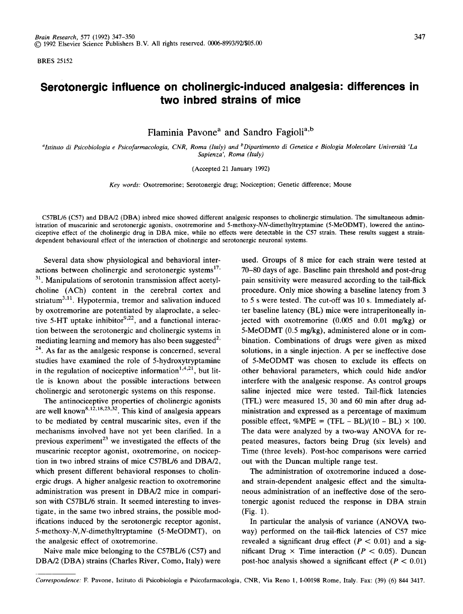BRES 25152

## **Serotonergic influence on cholinergic-induced analgesia: differences in two inbred strains of mice**

Flaminia Pavone<sup>a</sup> and Sandro Fagioli<sup>a,b</sup>

*alstituto di Psicobiologia e Psicofarmacologia, CNR, Roma (Italy) and bDipartimento di Genetica e Biologia Molecolare Universitg~ 'La Sapienza', Roma (Italy)* 

(Accepted 21 January 1992)

*Key words:* Oxotremorine; Serotonergic drug; Nociception; Genetic difference; Mouse

C57BL/6 (C57) and DBA/2 (DBA) inbred mice showed different analgesic responses to cholinergic stimulation. The simultaneous administration of muscarinic and serotonergic agonists, oxotremorine and 5-methoxy-NN-dimethyltryptamine (5-MeODMT), lowered the antinociceptive effect of the cholinergic drug in DBA mice, while no effects were detectable in the C57 strain. These results suggest a straindependent behavioural effect of the interaction of cholinergic and serotonergic neuronal systems.

Several data show physiological and behavioral interactions between cholinergic and serotonergic systems $^{17}$ .  $31$ . Manipulations of serotonin transmission affect acetylcholine (ACh) content in the cerebral cortex and striatum<sup>3,11</sup>. Hypotermia, tremor and salivation induced by oxotremorine are potentiated by alaproclate, a selective 5-HT uptake inhibitor $9.22$ , and a functional interaction between the serotonergic and cholinergic systems in mediating learning and memory has also been suggested<sup>2,</sup>  $24$ . As far as the analgesic response is concerned, several studies have examined the role of 5-hydroxytryptamine in the regulation of nociceptive information<sup>1,4,21</sup>, but little is known about the possible interactions between cholinergic and serotonergic systems on this response.

The antinociceptive properties of cholinergic agonists are well known<sup>8,12,18,23,32</sup>. This kind of analgesia appears to be mediated by central muscarinic sites, even if the mechanisms involved have not yet been clarified. In a previous experiment<sup>23</sup> we investigated the effects of the muscarinic receptor agonist, oxotremorine, on nociception in two inbred strains of mice C57BL/6 and DBA/2, which present different behavioral responses to cholinergic drugs. A higher analgesic reaction to oxotremorine administration was present in DBA/2 mice in comparison with C57BL/6 strain. It seemed interesting to investigate, in the same two inbred strains, the possible modifications induced by the serotonergic receptor agonist, 5-methoxy-N,N-dimethyltryptamine (5-MeODMT), on the analgesic effect of oxotremorine.

Naive male mice belonging to the C57BL/6 (C57) and DBA/2 (DBA) strains (Charles River, Como, Italy) were

used. Groups of 8 mice for each strain were tested at 70-80 days of age. Baseline pain threshold and post-drug pain sensitivity were measured according to the tail-flick procedure. Only mice showing a baseline latency from 3 to 5 s were tested. The cut-off was 10 s. Immediately after baseline latency (BL) mice were intraperitoneally injected with oxotremorine (0.005 and 0.01 mg/kg) or 5-MeODMT (0.5 mg/kg), administered alone or in combination. Combinations of drugs were given as mixed solutions, in a single injection. A per se ineffective dose of 5-MeODMT was chosen to exclude its effects on other behavioral parameters, which could hide and/or interfere with the analgesic response. As control groups saline injected mice were tested. Tail-flick latencies (TFL) were measured 15, 30 and 60 min after drug administration and expressed as a percentage of maximum possible effect,  $\%MPE = (TFL - BL)/(10 - BL) \times 100$ . The data were analyzed by a two-way ANOVA for repeated measures, factors being Drug (six levels) and Time (three levels). Post-hoc comparisons were carried out with the Duncan multiple range test.

The administration of oxotremorine induced a doseand strain-dependent analgesic effect and the simultaneous administration of an ineffective dose of the serotonergic agonist reduced the response in DBA strain (Fig. 1).

In particular the analysis of variance (ANOVA twoway) performed on the tail-flick latencies of C57 mice revealed a significant drug effect ( $P < 0.01$ ) and a significant Drug  $\times$  Time interaction ( $P < 0.05$ ). Duncan post-hoc analysis showed a significant effect ( $P < 0.01$ )

*Correspondence:* E Pavone, Istituto di Psicobiologia e Psicofarmacologia, CNR, Via Reno 1, 1-00198 Rome, Italy. Fax: (39) (6) 844 3417.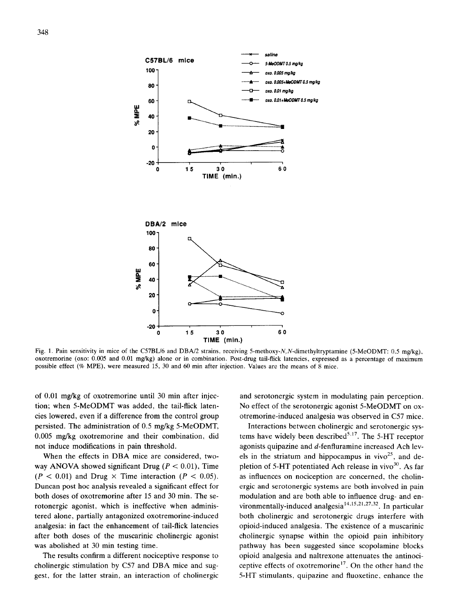

Fig. 1. Pain sensitivity in mice of the C57BL/6 and DBA/2 strains, receiving 5-methoxy-N,N-dimethyltryptamine (5-MeODMT: 0.5 mg/kg), oxotremorine (oxo: 0.005 and 0.01 mg/kg) alone or in combination. Post-drug tail-flick latencies, expressed as a percentage of maximum possible effect (% MPE), were measured 15, 30 and 60 min after injection. Values are the means of 8 mice.

of 0.01 mg/kg of oxotremorine until 30 min after injection; when 5-MeODMT was added, the tail-flick latencies lowered, even if a difference from the control group persisted. The administration of 0.5 mg/kg 5-MeODMT, 0.005 mg/kg oxotremorine and their combination, did not induce modifications in pain threshold.

When the effects in DBA mice are considered, twoway ANOVA showed significant Drug ( $P < 0.01$ ), Time  $(P < 0.01)$  and Drug  $\times$  Time interaction  $(P < 0.05)$ . Duncan post hoc analysis revealed a significant effect for both doses of oxotremorine after 15 and 30 min. The serotonergic agonist, which is ineffective when administered alone, partially antagonized oxotremorine-induced analgesia: in fact the enhancement of tail-flick latencies after both doses of the muscarinic cholinergic agonist was abolished at 30 min testing time.

The results confirm a different nociceptive response to cholinergic stimulation by C57 and DBA mice and suggest, for the latter strain, an interaction of cholinergic and serotonergic system in modulating pain perception. No effect of the serotonergic agonist 5-MeODMT on oxotremorine-induced analgesia was observed in C57 mice.

Interactions between cholinergic and serotonergic systems have widely been described<sup>5,17</sup>. The 5-HT receptor agonists quipazine and d-fenfluramine increased Ach levels in the striatum and hippocampus in vivo $2^5$ , and depletion of 5-HT potentiated Ach release in vivo $30$ . As far as influences on nociception are concerned, the cholinergic and serotonergic systems are both involved in pain modulation and are both able to influence drug- and environmentally-induced analgesia<sup>14,15,21,27,32</sup>. In particular both cholinergic and serotonergic drugs interfere with opioid-induced analgesia. The existence of a muscarinic cholinergic synapse within the opioid pain inhibitory pathway has been suggested since scopolamine blocks opioid analgesia and naltrexone attenuates the antinociceptive effects of oxotremorine<sup>17</sup>. On the other hand the 5-HT stimulants, quipazine and fluoxetine, enhance the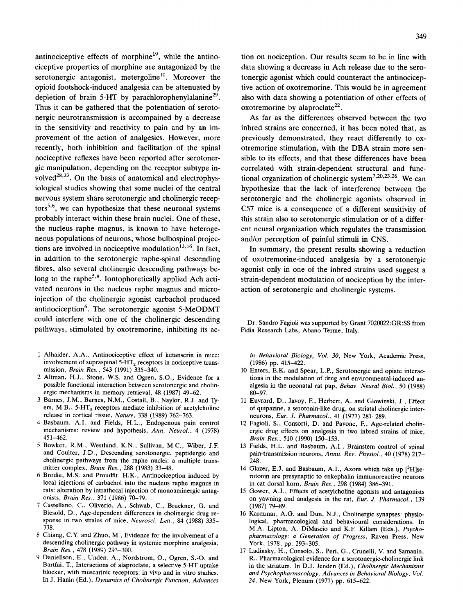antinociceptive effects of morphine<sup>19</sup>, while the antinociceptive properties of morphine are antagonized by the serotonergic antagonist, metergoline<sup>10</sup>. Moreover the opioid footshock-induced analgesia can be attenuated by depletion of brain 5-HT by parachlorophenylalanine<sup>29</sup>. Thus it can be gathered that the potentiation of serotonergic neurotransmission is accompained by a decrease in the sensitivity and reactivity to pain and by an improvement of the action of analgesics. However, more recently, both inhibition and facilitation of the spinal nociceptive reflexes have been reported after serotonergic manipulation, depending on the receptor subtype involved $^{28,33}$ . On the basis of anatomical and electrophysiological studies showing that some nuclei of the central nervous system share serotonergic and cholinergic recep $tors<sup>5,6</sup>$ , we can hypothesize that these neuronal systems probably interact within these brain nuclei. One of these, the nucleus raphe magnus, is known to have heterogeneous populations of neurons, whose bulbospinal projections are involved in nociceptive modulation  $13,16$ . In fact, in addition to the serotonergic raphe-spinal descending fibres, also several cholinergic descending pathways belong to the raphe<sup>5,8</sup>. Iontophoretically applied Ach activated neurons in the nucleus raphe magnus and microinjection of the cholinergic agonist carbachol produced antinociception<sup>6</sup>. The serotonergic agonist 5-MeODMT could interfere with one of the cholinergic descending pathways, stimulated by oxotremorine, inhibiting its ac-

- 1 Alhaider, A.A., Antinociceptive effect of ketanserin in mice: involvement of supraspinal 5-HT<sub>2</sub> receptors in nociceptive transmission, *Brain Res.,* 543 (1991) 335-340.
- 2 Altman, H.J., Stone, W.S. and Ogren, S.O., Evidence for a possible functional interaction between serotonergic and cholinergic mechanisms in memory retrieval, 48 (1987) 49-62.
- 3 Barnes, J.M., Barnes, N.M., Costall, B., Naylor, R.J. and Tyers, M.B.,  $5-HT_3$  receptors mediate inhibition of acetylcholine release in cortical tissue, *Nature,* 338 (1989) 762-763.
- 4 Basbaum, A.I. and Fields, H.L., Endogenous pain control mechanisms: review and hypothesis, *Ann. Neurol.,* 4 (1978) 451-462.
- 5 Bowker, R.M., Westlund, K.N., Sullivan, M.C., Wiber, J.F. and Coulter, J.D., Descending serotonergic, peptidergic and cholinergic pathways from the raphe nuclei: a multiple transmitter complex, *Brain Res.,* 288 (1983) 33-48.
- 6 Brodie, M.S. and Proudfit, H.K., Antinociception induced by local injections of carbachol into the nucleus raphe magnus in rats: alteration by intrathecal injection of monoaminergic antagonists, *Brain Res.,* 371 (1986) 70-79.
- 7 Castellano, C., Oliverio, A., Schwab, C., Bruckner, G. and Biesold, D., Age-dependent differences in cholinergic drug response in two strains of mice, *Neurosci. Lett.,* 84 (1988) 335- 338.
- 8 Chiang, C.Y. and Zhuo, M., Evidence for the involvement of a descending cholinergic pathway in systemic morphine analgesia, *Brain Res.,* 478 (1989) 293-300.
- Daniellson, E., Unden, A., Nordstrom, O., Ogren, S.-O. and Bartfai, T., Interactions of alaproclate, a selective 5-HT uptake blocker, with muscarinic receptors: in vivo and in vitro studies. In J. Hanin (Ed.), *Dynamics of Cholinergic Function, Advances*

349

data showing a decrease in Ach release due to the serotonergic agonist which could counteract the antinociceptive action of oxotremorine. This would be in agreement also with data showing a potentiation of other effects of oxotremorine by alaproclate<sup>22</sup>.

As far as the differences observed between the two inbred strains are concerned, it has been noted that, as previously demonstrated, they react differently to oxotremorine stimulation, with the DBA strain more sensible to its effects, and that these differences have been correlated with strain-dependent structural and functional organization of cholinergic system<sup>7,20,23,26</sup>. We can hypothesize that the lack of interference between the serotonergic and the cholinergic agonists observed in C57 mice is a consequence of a different sensitivity of this strain also to serotonergic stimulation or of a different neural organization which regulates the transmission and/or perception of painful stimuli in CNS.

In summary, the present results showing a reduction of oxotremorine-induced analgesia by a serotonergic agonist only in one of the inbred strains used suggest a strain-dependent modulation of nociception by the interaction of serotonergic and cholinergic systems.

Dr. Sandro Fagioli was supported by Grant 7020022:GR:SS from Fidia Research Labs, Abano Terme, Italy.

*in Behavioral Biology, Vol. 30,* New York, Academic Press, (1986) pp. 415-422.

- 10 Enters, E.K. and Spear, L.P., Serotonergic and opiate interactions in the modulation of drug and environmental-induced analgesia in the neonatal rat pup, *Behav. Neural Biol.,* 50 (1988) 80-97.
- 11 Euvrard, D., Javoy, E, Herbert, A. and Glowinski, J., Effect of quipazine, a serotonin-like drug, on striatal cholinergic interneurons, *Eur. J. Pharmacol.,* 41 (1977) 281-289.
- 12 Fagioli, S., Consorti, D. and Pavone, F., Age-related cholinergic drug effects on analgesia in two inbred strains of mice, *Brain Res.,* 510 (1990) 150-153.
- 13 Fields, H.L. and Basbaum, A.I., Brainstem control of spinal pain-transmission neurons, *Annu. Rev. Physiol.,* 40 (1978) 217- 248
- 14 Glazer, E.J. and Basbaum, A.I., Axons which take up [3H]serotonin are presynaptic to enkephalin immunoreactive neurons in cat dorsal horn, *Brain Res.,* 298 (1984) 386-391.
- 15 Gower, A.J., Effects of acetylcholine agonists and antagonists on yawning and analgesia in the rat, *Eur. J. Pharmacol.,* 139 (1987) 79-89,
- 16 Karczmar, A.G. and Dun, N.J., Cholinergic synapses: physiological, pharmacological and behavioural considerations. In M.A. Lipton, A. DiMascio and K.F. Killam (Eds.), *Psychopharmacology: a Generation of Progress,* Raven Press, New York, 1978, pp. 293-305.
- 17 Ladinsky, H., Consolo, S., Peri, G., Crunelli, V. and Samanin, R., Pharmacological evidence for a serotonergic-cholinergic link in the striatum. In D.J. Jenden (Ed.), *Cholinergic Mechanisms and Psychopharmacology, Advances in Behavioral Biology, Vol. 24,* New York, Plenum (1977) pp. 615-622.